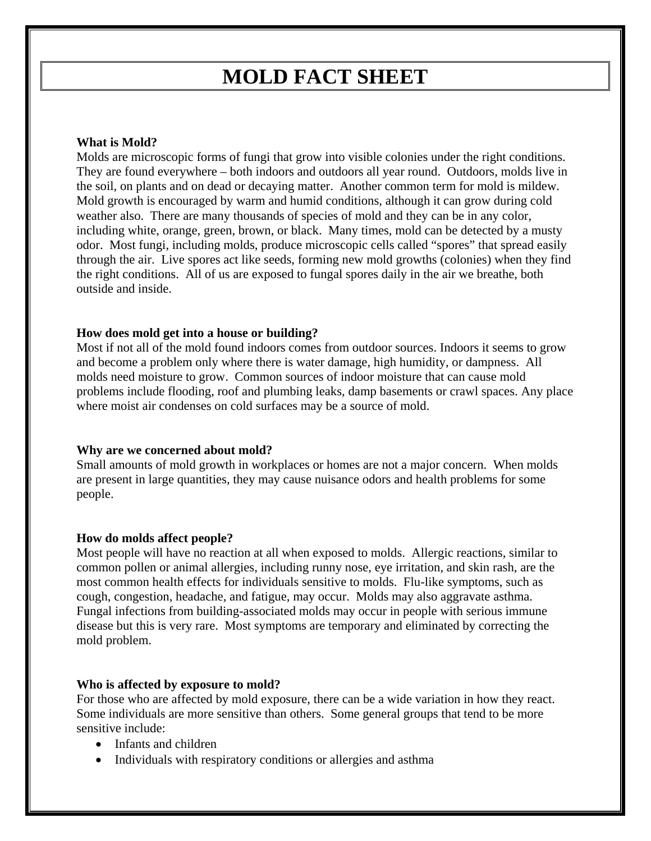# **MOLD FACT SHEET**

# **What is Mold?**

Molds are microscopic forms of fungi that grow into visible colonies under the right conditions. They are found everywhere – both indoors and outdoors all year round. Outdoors, molds live in the soil, on plants and on dead or decaying matter. Another common term for mold is mildew. Mold growth is encouraged by warm and humid conditions, although it can grow during cold weather also. There are many thousands of species of mold and they can be in any color, including white, orange, green, brown, or black. Many times, mold can be detected by a musty odor. Most fungi, including molds, produce microscopic cells called "spores" that spread easily through the air. Live spores act like seeds, forming new mold growths (colonies) when they find the right conditions. All of us are exposed to fungal spores daily in the air we breathe, both outside and inside.

## **How does mold get into a house or building?**

Most if not all of the mold found indoors comes from outdoor sources. Indoors it seems to grow and become a problem only where there is water damage, high humidity, or dampness. All molds need moisture to grow. Common sources of indoor moisture that can cause mold problems include flooding, roof and plumbing leaks, damp basements or crawl spaces. Any place where moist air condenses on cold surfaces may be a source of mold.

## **Why are we concerned about mold?**

Small amounts of mold growth in workplaces or homes are not a major concern. When molds are present in large quantities, they may cause nuisance odors and health problems for some people.

## **How do molds affect people?**

Most people will have no reaction at all when exposed to molds. Allergic reactions, similar to common pollen or animal allergies, including runny nose, eye irritation, and skin rash, are the most common health effects for individuals sensitive to molds. Flu-like symptoms, such as cough, congestion, headache, and fatigue, may occur. Molds may also aggravate asthma. Fungal infections from building-associated molds may occur in people with serious immune disease but this is very rare. Most symptoms are temporary and eliminated by correcting the mold problem.

#### **Who is affected by exposure to mold?**

For those who are affected by mold exposure, there can be a wide variation in how they react. Some individuals are more sensitive than others. Some general groups that tend to be more sensitive include:

- Infants and children
- Individuals with respiratory conditions or allergies and asthma